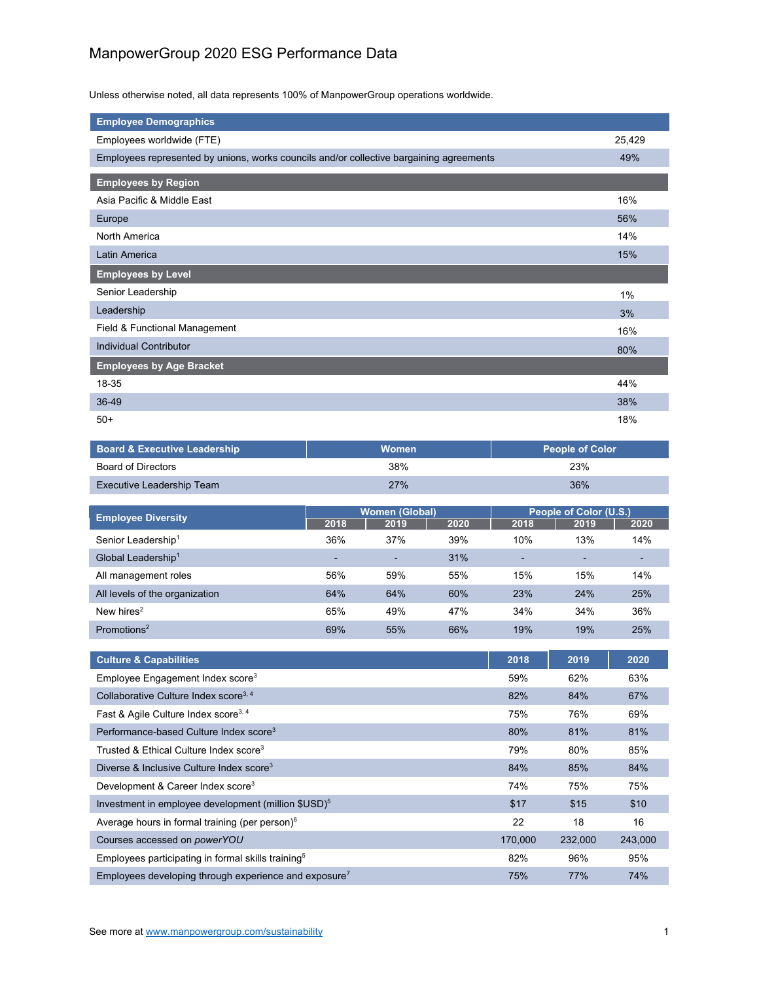## ManpowerGroup 2020 ESG Performance Data

Unless otherwise noted, all data represents 100% of ManpowerGroup operations worldwide.

| <b>Employee Demographics</b>                                                            |        |
|-----------------------------------------------------------------------------------------|--------|
| Employees worldwide (FTE)                                                               | 25,429 |
| Employees represented by unions, works councils and/or collective bargaining agreements | 49%    |
| <b>Employees by Region</b>                                                              |        |
| Asia Pacific & Middle East                                                              | 16%    |
| Europe                                                                                  | 56%    |
| North America                                                                           | 14%    |
| Latin America                                                                           | 15%    |
| <b>Employees by Level</b>                                                               |        |
| Senior Leadership                                                                       | 1%     |
| Leadership                                                                              | 3%     |
| Field & Functional Management                                                           | 16%    |
| <b>Individual Contributor</b>                                                           | 80%    |
| <b>Employees by Age Bracket</b>                                                         |        |
| 18-35                                                                                   | 44%    |
| 36-49                                                                                   | 38%    |
| $50+$                                                                                   | 18%    |
|                                                                                         |        |

| <b>Board &amp; Executive Leadership</b> | <b>Women</b> | <b>People of Color</b> |
|-----------------------------------------|--------------|------------------------|
| Board of Directors                      | 38%          | 23%                    |
| Executive Leadership Team               | 27%          | 36%                    |

| <b>Employee Diversity</b>      | <b>Women (Global)</b>    |      | People of Color (U.S.) |      |      |                          |
|--------------------------------|--------------------------|------|------------------------|------|------|--------------------------|
|                                | 2018                     | 2019 | 2020                   | 2018 | 2019 | 2020                     |
| Senior Leadership <sup>1</sup> | 36%                      | 37%  | 39%                    | 10%  | 13%  | 14%                      |
| Global Leadership <sup>1</sup> | $\overline{\phantom{0}}$ | -    | 31%                    |      |      | $\overline{\phantom{0}}$ |
| All management roles           | 56%                      | 59%  | 55%                    | 15%  | 15%  | 14%                      |
| All levels of the organization | 64%                      | 64%  | 60%                    | 23%  | 24%  | 25%                      |
| New hires $2$                  | 65%                      | 49%  | 47%                    | 34%  | 34%  | 36%                      |
| Promotions <sup>2</sup>        | 69%                      | 55%  | 66%                    | 19%  | 19%  | 25%                      |

| <b>Culture &amp; Capabilities</b>                                 | 2018    | 2019    | 2020    |
|-------------------------------------------------------------------|---------|---------|---------|
| Employee Engagement Index score <sup>3</sup>                      | 59%     | 62%     | 63%     |
| Collaborative Culture Index score <sup>3, 4</sup>                 | 82%     | 84%     | 67%     |
| Fast & Agile Culture Index score <sup>3, 4</sup>                  | 75%     | 76%     | 69%     |
| Performance-based Culture Index score <sup>3</sup>                | 80%     | 81%     | 81%     |
| Trusted & Ethical Culture Index score <sup>3</sup>                | 79%     | 80%     | 85%     |
| Diverse & Inclusive Culture Index score <sup>3</sup>              | 84%     | 85%     | 84%     |
| Development & Career Index score <sup>3</sup>                     | 74%     | 75%     | 75%     |
| Investment in employee development (million \$USD) <sup>5</sup>   | \$17    | \$15    | \$10    |
| Average hours in formal training (per person) <sup>6</sup>        | 22      | 18      | 16      |
| Courses accessed on powerYOU                                      | 170,000 | 232,000 | 243,000 |
| Employees participating in formal skills training <sup>5</sup>    | 82%     | 96%     | 95%     |
| Employees developing through experience and exposure <sup>7</sup> | 75%     | 77%     | 74%     |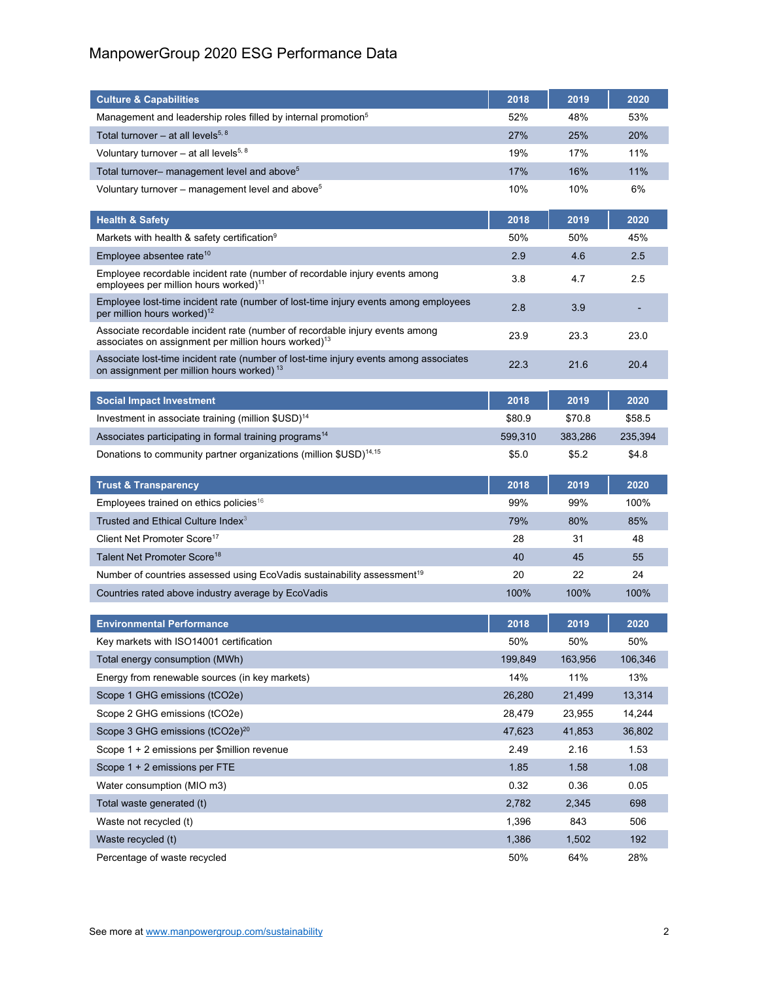## ManpowerGroup 2020 ESG Performance Data

| <b>Culture &amp; Capabilities</b>                                                                                                                | 2018           | 2019           | 2020             |
|--------------------------------------------------------------------------------------------------------------------------------------------------|----------------|----------------|------------------|
| Management and leadership roles filled by internal promotion <sup>5</sup>                                                                        | 52%            | 48%            | 53%              |
| Total turnover - at all levels <sup>5, 8</sup>                                                                                                   | 27%            | 25%            | 20%              |
| Voluntary turnover – at all levels <sup>5, 8</sup>                                                                                               | 19%            | 17%            | 11%              |
| Total turnover- management level and above <sup>5</sup>                                                                                          | 17%            | 16%            | 11%              |
| Voluntary turnover – management level and above <sup>5</sup>                                                                                     | 10%            | 10%            | 6%               |
| <b>Health &amp; Safety</b>                                                                                                                       | 2018           | 2019           | 2020             |
| Markets with health & safety certification <sup>9</sup>                                                                                          | 50%            | 50%            | 45%              |
| Employee absentee rate <sup>10</sup>                                                                                                             | 2.9            | 4.6            | 2.5              |
| Employee recordable incident rate (number of recordable injury events among                                                                      |                |                |                  |
| employees per million hours worked) <sup>11</sup>                                                                                                | 3.8            | 4.7            | 2.5              |
| Employee lost-time incident rate (number of lost-time injury events among employees<br>per million hours worked) <sup>12</sup>                   | 2.8            | 3.9            |                  |
| Associate recordable incident rate (number of recordable injury events among<br>associates on assignment per million hours worked) <sup>13</sup> | 23.9           | 23.3           | 23.0             |
| Associate lost-time incident rate (number of lost-time injury events among associates<br>on assignment per million hours worked) <sup>13</sup>   | 22.3           | 21.6           | 20.4             |
| <b>Social Impact Investment</b>                                                                                                                  | 2018           | 2019           | 2020             |
| Investment in associate training (million \$USD) <sup>14</sup>                                                                                   | \$80.9         | \$70.8         | \$58.5           |
| Associates participating in formal training programs <sup>14</sup>                                                                               | 599,310        | 383,286        | 235,394          |
| Donations to community partner organizations (million \$USD) <sup>14,15</sup>                                                                    | \$5.0          | \$5.2          | \$4.8            |
|                                                                                                                                                  |                |                |                  |
|                                                                                                                                                  |                |                |                  |
| <b>Trust &amp; Transparency</b>                                                                                                                  | 2018           | 2019           | 2020             |
| Employees trained on ethics policies <sup>16</sup>                                                                                               | 99%            | 99%            | 100%             |
| Trusted and Ethical Culture Index <sup>3</sup>                                                                                                   | 79%            | 80%            | 85%              |
| Client Net Promoter Score <sup>17</sup>                                                                                                          | 28             | 31             | 48               |
| Talent Net Promoter Score <sup>18</sup>                                                                                                          | 40             | 45             | 55               |
| Number of countries assessed using EcoVadis sustainability assessment <sup>19</sup>                                                              | 20             | 22             | 24               |
| Countries rated above industry average by EcoVadis                                                                                               | 100%           | 100%           | 100%             |
|                                                                                                                                                  |                |                |                  |
| <b>Environmental Performance</b>                                                                                                                 | 2018           | 2019           | 2020             |
| Key markets with ISO14001 certification                                                                                                          | 50%            | 50%            | 50%              |
| Total energy consumption (MWh)                                                                                                                   | 199,849<br>14% | 163,956<br>11% | 106,346<br>13%   |
| Energy from renewable sources (in key markets)<br>Scope 1 GHG emissions (tCO2e)                                                                  | 26,280         | 21,499         |                  |
|                                                                                                                                                  | 28,479         | 23,955         | 13,314<br>14,244 |
| Scope 2 GHG emissions (tCO2e)<br>Scope 3 GHG emissions (tCO2e) <sup>20</sup>                                                                     | 47,623         | 41,853         | 36,802           |
| Scope 1 + 2 emissions per \$million revenue                                                                                                      | 2.49           | 2.16           | 1.53             |
| Scope 1 + 2 emissions per FTE                                                                                                                    | 1.85           | 1.58           | 1.08             |
| Water consumption (MIO m3)                                                                                                                       | 0.32           | 0.36           | 0.05             |
| Total waste generated (t)                                                                                                                        | 2,782          | 2,345          | 698              |
| Waste not recycled (t)                                                                                                                           | 1,396          | 843            | 506              |
| Waste recycled (t)                                                                                                                               | 1,386          | 1,502          | 192              |